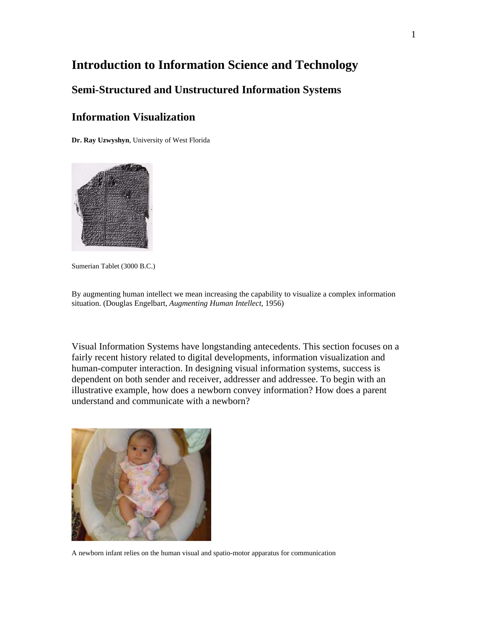# **Introduction to Information Science and Technology**

## **Semi-Structured and Unstructured Information Systems**

#### **Information Visualization**

**Dr. Ray Uzwyshyn**, University of West Florida



Sumerian Tablet (3000 B.C.)

By augmenting human intellect we mean increasing the capability to visualize a complex information situation. (Douglas Engelbart, *Augmenting Human Intellect*, 1956)

Visual Information Systems have longstanding antecedents. This section focuses on a fairly recent history related to digital developments, information visualization and human-computer interaction. In designing visual information systems, success is dependent on both sender and receiver, addresser and addressee. To begin with an illustrative example, how does a newborn convey information? How does a parent understand and communicate with a newborn?



A newborn infant relies on the human visual and spatio-motor apparatus for communication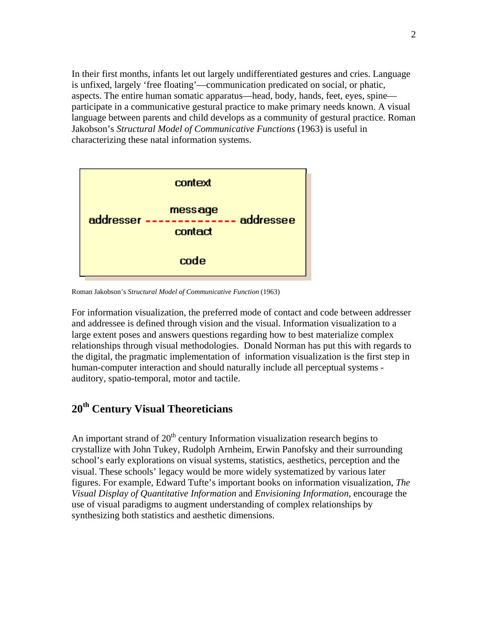In their first months, infants let out largely undifferentiated gestures and cries. Language is unfixed, largely 'free floating'—communication predicated on social, or phatic, aspects. The entire human somatic apparatus—head, body, hands, feet, eyes, spine participate in a communicative gestural practice to make primary needs known. A visual language between parents and child develops as a community of gestural practice. Roman Jakobson's *Structural Model of Communicative Functions* (1963) is useful in characterizing these natal information systems.



Roman Jakobson's *Structural Model of Communicative Function* (1963)

For information visualization, the preferred mode of contact and code between addresser and addressee is defined through vision and the visual. Information visualization to a large extent poses and answers questions regarding how to best materialize complex relationships through visual methodologies. Donald Norman has put this with regards to the digital, the pragmatic implementation of information visualization is the first step in human-computer interaction and should naturally include all perceptual systems auditory, spatio-temporal, motor and tactile.

## **20th Century Visual Theoreticians**

An important strand of  $20<sup>th</sup>$  century Information visualization research begins to crystallize with John Tukey, Rudolph Arnheim, Erwin Panofsky and their surrounding school's early explorations on visual systems, statistics, aesthetics, perception and the visual. These schools' legacy would be more widely systematized by various later figures. For example, Edward Tufte's important books on information visualization, *The Visual Display of Quantitative Information* and *Envisioning Information*, encourage the use of visual paradigms to augment understanding of complex relationships by synthesizing both statistics and aesthetic dimensions.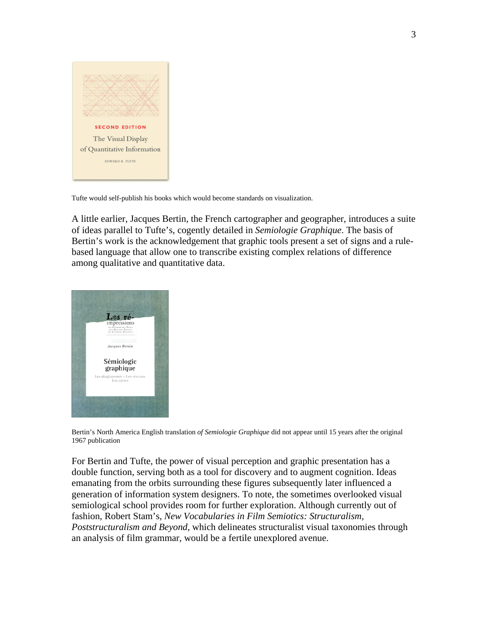

Tufte would self-publish his books which would become standards on visualization.

A little earlier, Jacques Bertin, the French cartographer and geographer, introduces a suite of ideas parallel to Tufte's, cogently detailed in *Semiologie Graphique*. The basis of Bertin's work is the acknowledgement that graphic tools present a set of signs and a rulebased language that allow one to transcribe existing complex relations of difference among qualitative and quantitative data.



Bertin's North America English translation *of Semiologie Graphique* did not appear until 15 years after the original 1967 publication

For Bertin and Tufte, the power of visual perception and graphic presentation has a double function, serving both as a tool for discovery and to augment cognition. Ideas emanating from the orbits surrounding these figures subsequently later influenced a generation of information system designers. To note, the sometimes overlooked visual semiological school provides room for further exploration. Although currently out of fashion, Robert Stam's, *New Vocabularies in Film Semiotics: Structuralism, Poststructuralism and Beyond*, which delineates structuralist visual taxonomies through an analysis of film grammar, would be a fertile unexplored avenue.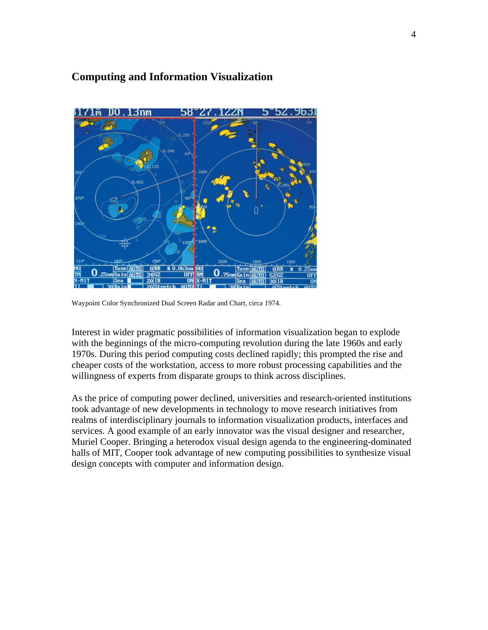## **Computing and Information Visualization**



Waypoint Color Synchronized Dual Screen Radar and Chart, circa 1974.

Interest in wider pragmatic possibilities of information visualization began to explode with the beginnings of the micro-computing revolution during the late 1960s and early 1970s. During this period computing costs declined rapidly; this prompted the rise and cheaper costs of the workstation, access to more robust processing capabilities and the willingness of experts from disparate groups to think across disciplines.

As the price of computing power declined, universities and research-oriented institutions took advantage of new developments in technology to move research initiatives from realms of interdisciplinary journals to information visualization products, interfaces and services. A good example of an early innovator was the visual designer and researcher, Muriel Cooper. Bringing a heterodox visual design agenda to the engineering-dominated halls of MIT, Cooper took advantage of new computing possibilities to synthesize visual design concepts with computer and information design.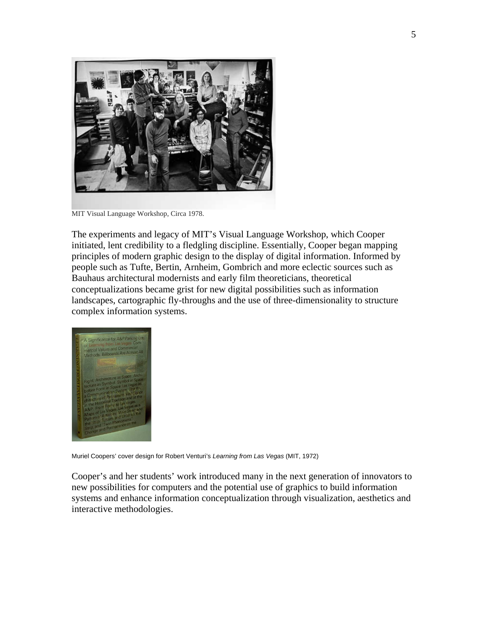

[MIT Visual Language Workshop, Circa 1978.](http://cavs.mit.edu/artists.html?id=264,571) 

The experiments and legacy of MIT's Visual Language Workshop, which Cooper initiated, lent credibility to a fledgling discipline. Essentially, Cooper began mapping principles of modern graphic design to the display of digital information. Informed by people such as Tufte, Bertin, Arnheim, Gombrich and more eclectic sources such as Bauhaus architectural modernists and early film theoreticians, theoretical conceptualizations became grist for new digital possibilities such as information landscapes, cartographic fly-throughs and the use of three-dimensionality to structure complex information systems.



Muriel Coopers' cover design for Robert Venturi's *Learning from Las Vegas* (MIT, 1972)

Cooper's and her students' work introduced many in the next generation of innovators to new possibilities for computers and the potential use of graphics to build information systems and enhance information conceptualization through visualization, aesthetics and interactive methodologies.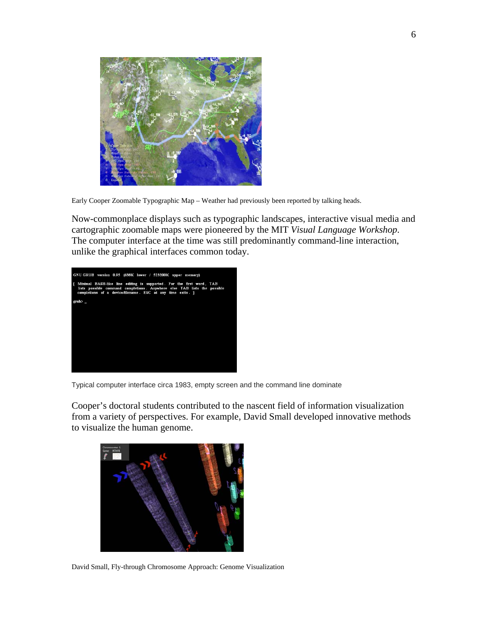

Early Cooper Zoomable Typographic Map – Weather had previously been reported by talking heads.

Now-commonplace displays such as typographic landscapes, interactive visual media and cartographic zoomable maps were pioneered by the MIT *Visual Language Workshop*. The computer interface at the time was still predominantly command-line interaction, unlike the graphical interfaces common today.



Typical computer interface circa 1983, empty screen and the command line dominate

Cooper's doctoral students contributed to the nascent field of information visualization from a variety of perspectives. For example, David Small developed innovative methods to visualize the human genome.



David Small, Fly-through Chromosome Approach: Genome Visualization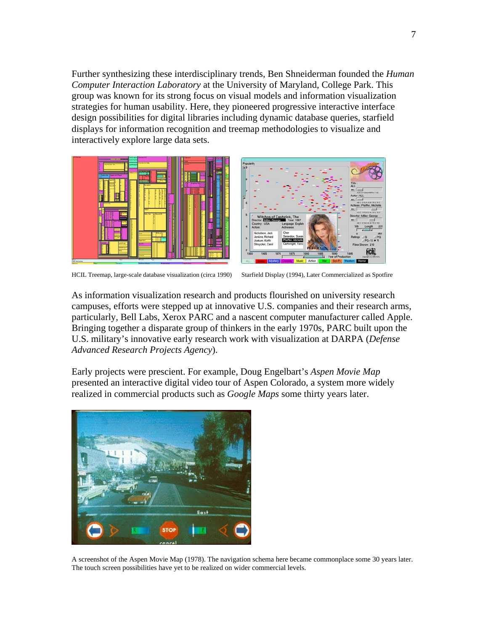Further synthesizing these interdisciplinary trends, Ben Shneiderman founded the *Human Computer Interaction Laboratory* at the University of Maryland, College Park. This group was known for its strong focus on visual models and information visualization strategies for human usability. Here, they pioneered progressive interactive interface design possibilities for digital libraries including dynamic database queries, starfield displays for information recognition and treemap methodologies to visualize and interactively explore large data sets.





HCIL Treemap, large-scale database visualization (circa 1990) Starfield Display (1994), Later Commercialized as Spotfire

As information visualization research and products flourished on university research campuses, efforts were stepped up at innovative U.S. companies and their research arms, particularly, Bell Labs, Xerox PARC and a nascent computer manufacturer called Apple. Bringing together a disparate group of thinkers in the early 1970s, PARC built upon the U.S. military's innovative early research work with visualization at DARPA (*Defense Advanced Research Projects Agency*).

Early projects were prescient. For example, Doug Engelbart's *Aspen Movie Map* presented an interactive digital video tour of Aspen Colorado, a system more widely realized in commercial products such as *Google Maps* some thirty years later.



A screenshot of the Aspen Movie Map (1978). The navigation schema here became commonplace some 30 years later. The touch screen possibilities have yet to be realized on wider commercial levels.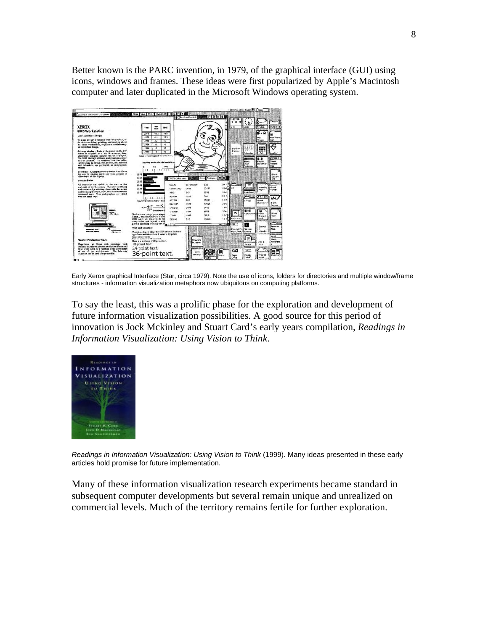Better known is the PARC invention, in 1979, of the graphical interface (GUI) using icons, windows and frames. These ideas were first popularized by Apple's Macintosh computer and later duplicated in the Microsoft Windows operating system.



Early Xerox graphical Interface (Star, circa 1979). Note the use of icons, folders for directories and multiple window/frame structures - information visualization metaphors now ubiquitous on computing platforms.

To say the least, this was a prolific phase for the exploration and development of future information visualization possibilities. A good source for this period of innovation is Jock Mckinley and Stuart Card's early years compilation, *Readings in Information Visualization: Using Vision to Think*.



*Readings in Information Visualization: Using Vision to Think* (1999). Many ideas presented in these early articles hold promise for future implementation.

Many of these information visualization research experiments became standard in subsequent computer developments but several remain unique and unrealized on commercial levels. Much of the territory remains fertile for further exploration.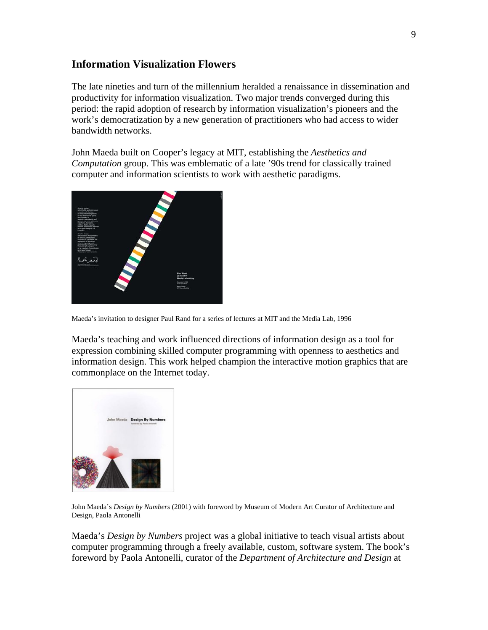### **Information Visualization Flowers**

The late nineties and turn of the millennium heralded a renaissance in dissemination and productivity for information visualization. Two major trends converged during this period: the rapid adoption of research by information visualization's pioneers and the work's democratization by a new generation of practitioners who had access to wider bandwidth networks.

John Maeda built on Cooper's legacy at MIT, establishing the *Aesthetics and Computation* group. This was emblematic of a late '90s trend for classically trained computer and information scientists to work with aesthetic paradigms.



Maeda's invitation to designer Paul Rand for a series of lectures at MIT and the Media Lab, 1996

Maeda's teaching and work influenced directions of information design as a tool for expression combining skilled computer programming with openness to aesthetics and information design. This work helped champion the interactive motion graphics that are commonplace on the Internet today.



John Maeda's *Design by Numbers* (2001) with foreword by Museum of Modern Art Curator of Architecture and Design, Paola Antonelli

Maeda's *Design by Numbers* project was a global initiative to teach visual artists about computer programming through a freely available, custom, software system. The book's foreword by Paola Antonelli, curator of the *Department of Architecture and Design* at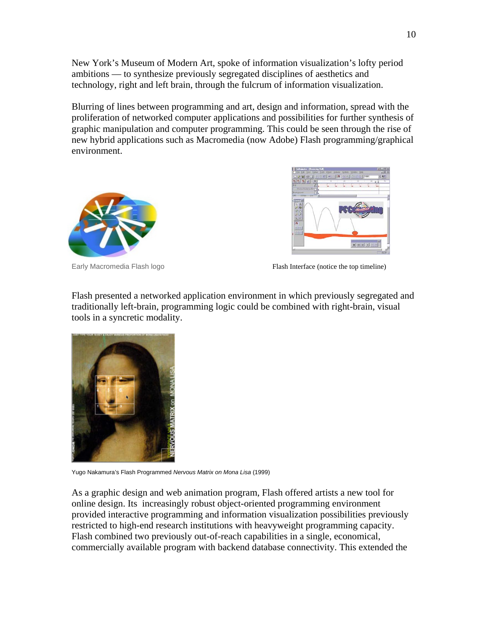New York's Museum of Modern Art, spoke of information visualization's lofty period ambitions — to synthesize previously segregated disciplines of aesthetics and technology, right and left brain, through the fulcrum of information visualization.

Blurring of lines between programming and art, design and information, spread with the proliferation of networked computer applications and possibilities for further synthesis of graphic manipulation and computer programming. This could be seen through the rise of new hybrid applications such as Macromedia (now Adobe) Flash programming/graphical environment.





Early Macromedia Flash logo **Flash Interface (notice the top timeline)** Flash Interface (notice the top timeline)

Flash presented a networked application environment in which previously segregated and traditionally left-brain, programming logic could be combined with right-brain, visual tools in a syncretic modality.



Yugo Nakamura's Flash Programmed *Nervous Matrix on Mona Lisa* (1999)

As a graphic design and web animation program, Flash offered artists a new tool for online design. Its increasingly robust object-oriented programming environment provided interactive programming and information visualization possibilities previously restricted to high-end research institutions with heavyweight programming capacity. Flash combined two previously out-of-reach capabilities in a single, economical, commercially available program with backend database connectivity. This extended the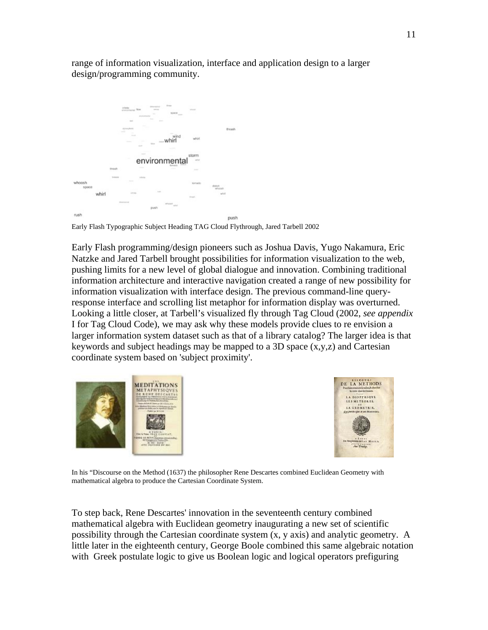range of information visualization, interface and application design to a larger design/programming community.



Early Flash Typographic Subject Heading TAG Cloud Flythrough, Jared Tarbell 2002

Early Flash programming/design pioneers such as Joshua Davis, Yugo Nakamura, Eric Natzke and Jared Tarbell brought possibilities for information visualization to the web, pushing limits for a new level of global dialogue and innovation. Combining traditional information architecture and interactive navigation created a range of new possibility for information visualization with interface design. The previous command-line queryresponse interface and scrolling list metaphor for information display was overturned. Looking a little closer, at Tarbell's visualized fly through Tag Cloud (2002, *see appendix*  I for Tag Cloud Code), we may ask why these models provide clues to re envision a larger information system dataset such as that of a library catalog? The larger idea is that keywords and subject headings may be mapped to a 3D space (x,y,z) and Cartesian coordinate system based on 'subject proximity'.





In his "Discourse on the Method (1637) the philosopher Rene Descartes combined Euclidean Geometry with mathematical algebra to produce the Cartesian Coordinate System.

To step back, Rene Descartes' innovation in the seventeenth century combined mathematical algebra with Euclidean geometry inaugurating a new set of scientific possibility through the Cartesian coordinate system (x, y axis) and analytic geometry. A little later in the eighteenth century, George Boole combined this same algebraic notation with Greek postulate logic to give us Boolean logic and logical operators prefiguring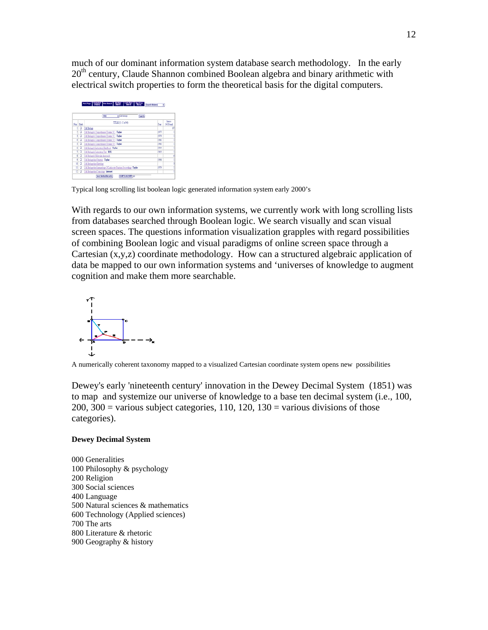much of our dominant information system database search methodology. In the early  $20<sup>th</sup>$  century, Claude Shannon combined Boolean algebra and binary arithmetic with electrical switch properties to form the theoretical basis for the digital computers.

|                                                     |          | Nechaps Comded NewSearch Boother Linkflort Search as<br>(Search History)        |        | ٠                           |
|-----------------------------------------------------|----------|---------------------------------------------------------------------------------|--------|-----------------------------|
| : Cell biology<br>185<br><b>Search</b>              |          |                                                                                 |        |                             |
|                                                     | Nun Mark | THE ES (1-1) of 40)                                                             | Year   | <b>Litters</b><br>140 Found |
| н                                                   |          | <b>Q</b> Cd below                                                               |        | n                           |
|                                                     | o        | Cal Belagy A Comprehense Trages V 1 Taylor                                      | $-977$ |                             |
| X                                                   |          | Col Bology A Comprehense Traster V.2 Taylor                                     | 1979   |                             |
| z                                                   | ٥        | Cal hology A Comprehensive Treature V 3 : Taylor                                | 1985   |                             |
| s                                                   | o        | C41 Bology A Comprehensy: Treates V 4 : Taylor                                  | 1985   |                             |
| 4                                                   |          | Cal hology A Laboratory Handbook Taylor                                         | 1994   |                             |
| 71                                                  | ٥        | Cd hology A Laboratory Test RDL                                                 | 1965   |                             |
| s                                                   | ۰        | Cal Bology A Molecular Approach                                                 |        |                             |
| X                                                   | o        | C-4 holigy And Genetics Taylor                                                  | 1995   |                             |
| 30                                                  | ۰        | Cel Bology And Hatslegy                                                         |        |                             |
| m                                                   |          | <sup>Q</sup> Cd hology And Immaxings Of Leakacete Function Proceedings : Taylor | 1979   |                             |
|                                                     |          | 12 Cd being And Tracelogy Internet                                              |        |                             |
| <b>Save Marked Records</b><br><b><i>UMBANNE</i></b> |          |                                                                                 |        |                             |

Typical long scrolling list boolean logic generated information system early 2000's

With regards to our own information systems, we currently work with long scrolling lists from databases searched through Boolean logic. We search visually and scan visual screen spaces. The questions information visualization grapples with regard possibilities of combining Boolean logic and visual paradigms of online screen space through a Cartesian (x,y,z) coordinate methodology. How can a structured algebraic application of data be mapped to our own information systems and 'universes of knowledge to augment cognition and make them more searchable.



A numerically coherent taxonomy mapped to a visualized Cartesian coordinate system opens new possibilities

Dewey's early 'nineteenth century' innovation in the Dewey Decimal System (1851) was to map and systemize our universe of knowledge to a base ten decimal system (i.e., 100,  $200, 300$  = various subject categories, 110, 120, 130 = various divisions of those categories).

#### **Dewey Decimal System**

000 Generalities 100 Philosophy & psychology 200 Religion 300 Social sciences 400 Language 500 Natural sciences & mathematics 600 Technology (Applied sciences) 700 The arts 800 Literature & rhetoric 900 Geography & history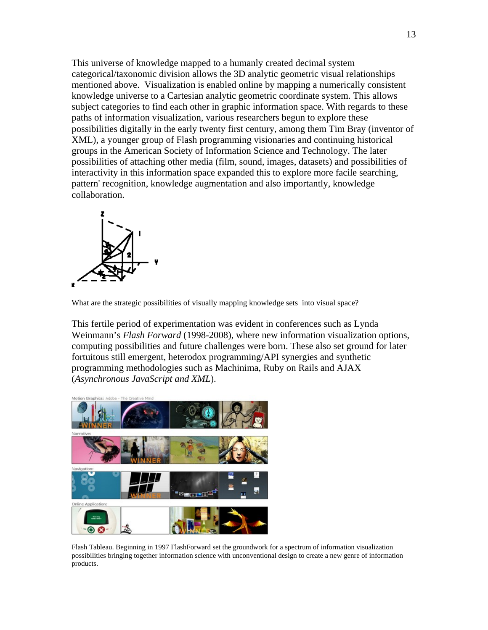This universe of knowledge mapped to a humanly created decimal system categorical/taxonomic division allows the 3D analytic geometric visual relationships mentioned above. Visualization is enabled online by mapping a numerically consistent knowledge universe to a Cartesian analytic geometric coordinate system. This allows subject categories to find each other in graphic information space. With regards to these paths of information visualization, various researchers begun to explore these possibilities digitally in the early twenty first century, among them Tim Bray (inventor of XML), a younger group of Flash programming visionaries and continuing historical groups in the American Society of Information Science and Technology. The later possibilities of attaching other media (film, sound, images, datasets) and possibilities of interactivity in this information space expanded this to explore more facile searching, pattern' recognition, knowledge augmentation and also importantly, knowledge collaboration.



What are the strategic possibilities of visually mapping knowledge sets into visual space?

This fertile period of experimentation was evident in conferences such as Lynda Weinmann's *Flash Forward* (1998-2008), where new information visualization options, computing possibilities and future challenges were born. These also set ground for later fortuitous still emergent, heterodox programming/API synergies and synthetic programming methodologies such as Machinima, Ruby on Rails and AJAX (*Asynchronous JavaScript and XML*).



Flash Tableau. Beginning in 1997 FlashForward set the groundwork for a spectrum of information visualization possibilities bringing together information science with unconventional design to create a new genre of information products.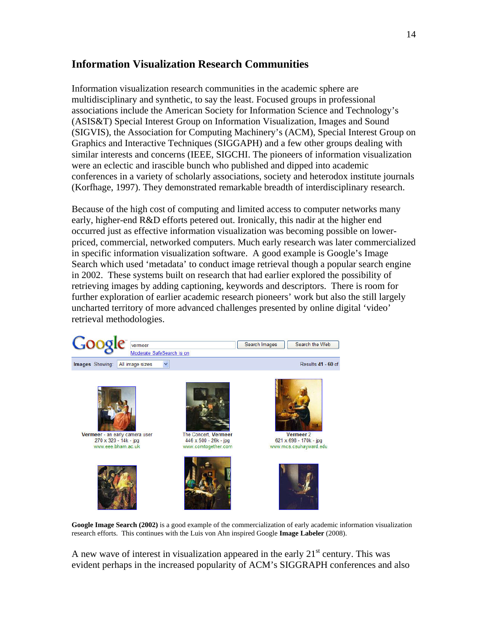### **Information Visualization Research Communities**

Information visualization research communities in the academic sphere are multidisciplinary and synthetic, to say the least. Focused groups in professional associations include the American Society for Information Science and Technology's (ASIS&T) Special Interest Group on Information Visualization, Images and Sound (SIGVIS), the Association for Computing Machinery's (ACM), Special Interest Group on Graphics and Interactive Techniques (SIGGAPH) and a few other groups dealing with similar interests and concerns (IEEE, SIGCHI. The pioneers of information visualization were an eclectic and irascible bunch who published and dipped into academic conferences in a variety of scholarly associations, society and heterodox institute journals (Korfhage, 1997). They demonstrated remarkable breadth of interdisciplinary research.

Because of the high cost of computing and limited access to computer networks many early, higher-end R&D efforts petered out. Ironically, this nadir at the higher end occurred just as effective information visualization was becoming possible on lowerpriced, commercial, networked computers. Much early research was later commercialized in specific information visualization software. A good example is Google's Image Search which used 'metadata' to conduct image retrieval though a popular search engine in 2002. These systems built on research that had earlier explored the possibility of retrieving images by adding captioning, keywords and descriptors. There is room for further exploration of earlier academic research pioneers' work but also the still largely uncharted territory of more advanced challenges presented by online digital 'video' retrieval methodologies.



**Google Image Search (2002)** is a good example of the commercialization of early academic information visualization research efforts. This continues with the Luis von Ahn inspired Google **Image Labeler** (2008).

A new wave of interest in visualization appeared in the early  $21<sup>st</sup>$  century. This was evident perhaps in the increased popularity of ACM's SIGGRAPH conferences and also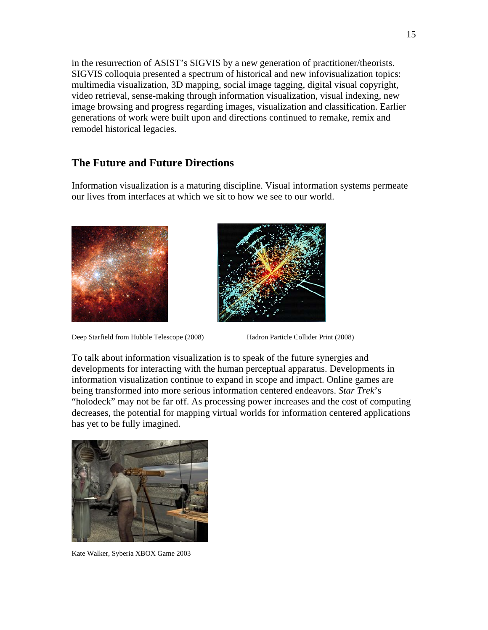in the resurrection of ASIST's SIGVIS by a new generation of practitioner/theorists. SIGVIS colloquia presented a spectrum of historical and new infovisualization topics: multimedia visualization, 3D mapping, social image tagging, digital visual copyright, video retrieval, sense-making through information visualization, visual indexing, new image browsing and progress regarding images, visualization and classification. Earlier generations of work were built upon and directions continued to remake, remix and remodel historical legacies.

#### **The Future and Future Directions**

Information visualization is a maturing discipline. Visual information systems permeate our lives from interfaces at which we sit to how we see to our world.





Deep Starfield from Hubble Telescope (2008) Hadron Particle Collider Print (2008)

To talk about information visualization is to speak of the future synergies and developments for interacting with the human perceptual apparatus. Developments in information visualization continue to expand in scope and impact. Online games are being transformed into more serious information centered endeavors. *Star Trek*'s "holodeck" may not be far off. As processing power increases and the cost of computing decreases, the potential for mapping virtual worlds for information centered applications has yet to be fully imagined.



Kate Walker, Syberia XBOX Game 2003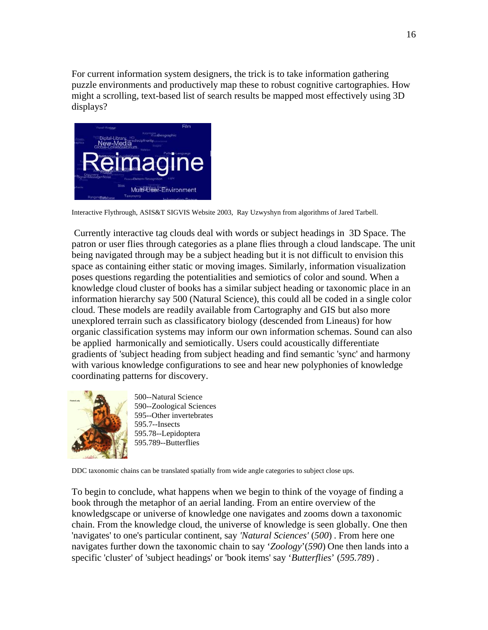For current information system designers, the trick is to take information gathering puzzle environments and productively map these to robust cognitive cartographies. How might a scrolling, text-based list of search results be mapped most effectively using 3D displays?



Interactive Flythrough, ASIS&T SIGVIS Website 2003, Ray Uzwyshyn from algorithms of Jared Tarbell.

 Currently interactive tag clouds deal with words or subject headings in 3D Space. The patron or user flies through categories as a plane flies through a cloud landscape. The unit being navigated through may be a subject heading but it is not difficult to envision this space as containing either static or moving images. Similarly, information visualization poses questions regarding the potentialities and semiotics of color and sound. When a knowledge cloud cluster of books has a similar subject heading or taxonomic place in an information hierarchy say 500 (Natural Science), this could all be coded in a single color cloud. These models are readily available from Cartography and GIS but also more unexplored terrain such as classificatory biology (descended from Lineaus) for how organic classification systems may inform our own information schemas. Sound can also be applied harmonically and semiotically. Users could acoustically differentiate gradients of 'subject heading from subject heading and find semantic 'sync' and harmony with various knowledge configurations to see and hear new polyphonies of knowledge coordinating patterns for discovery.



500--Natural Science 590--Zoological Sciences 595--Other invertebrates 595.7--Insects 595.78--Lepidoptera 595.789--Butterflies

DDC taxonomic chains can be translated spatially from wide angle categories to subject close ups.

To begin to conclude, what happens when we begin to think of the voyage of finding a book through the metaphor of an aerial landing. From an entire overview of the knowledgscape or universe of knowledge one navigates and zooms down a taxonomic chain. From the knowledge cloud, the universe of knowledge is seen globally. One then 'navigates' to one's particular continent, say *'Natural Sciences'* (*500*) . From here one navigates further down the taxonomic chain to say '*Zoology*'(*590*) One then lands into a specific 'cluster' of 'subject headings' or 'book items' say '*Butterflies*' (*595.789*) .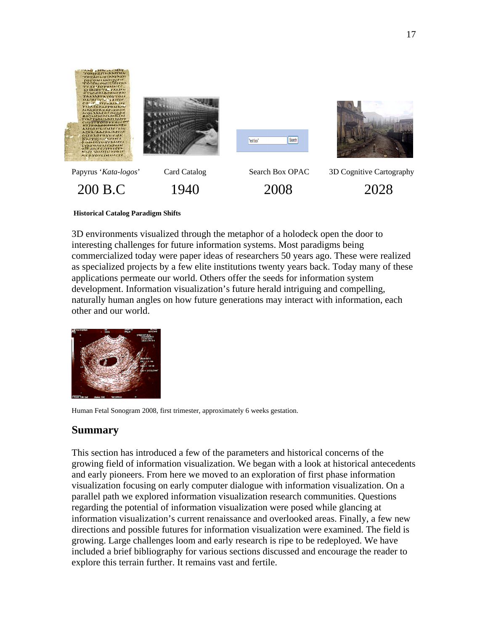

#### **Historical Catalog Paradigm Shifts**

3D environments visualized through the metaphor of a holodeck open the door to interesting challenges for future information systems. Most paradigms being commercialized today were paper ideas of researchers 50 years ago. These were realized as specialized projects by a few elite institutions twenty years back. Today many of these applications permeate our world. Others offer the seeds for information system development. Information visualization's future herald intriguing and compelling, naturally human angles on how future generations may interact with information, each other and our world.



Human Fetal Sonogram 2008, first trimester, approximately 6 weeks gestation.

### **Summary**

This section has introduced a few of the parameters and historical concerns of the growing field of information visualization. We began with a look at historical antecedents and early pioneers. From here we moved to an exploration of first phase information visualization focusing on early computer dialogue with information visualization. On a parallel path we explored information visualization research communities. Questions regarding the potential of information visualization were posed while glancing at information visualization's current renaissance and overlooked areas. Finally, a few new directions and possible futures for information visualization were examined. The field is growing. Large challenges loom and early research is ripe to be redeployed. We have included a brief bibliography for various sections discussed and encourage the reader to explore this terrain further. It remains vast and fertile.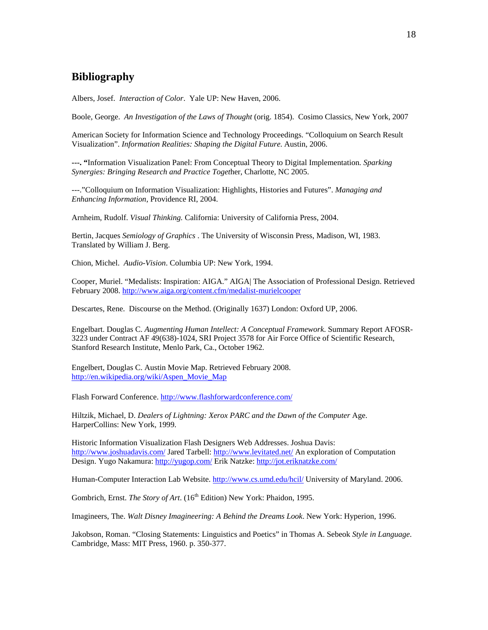#### **Bibliography**

Albers, Josef. *Interaction of Color*. Yale UP: New Haven, 2006.

Boole, George. *An Investigation of the Laws of Thought* (orig. 1854). Cosimo Classics, New York, 2007

American Society for Information Science and Technology Proceedings. "Colloquium on Search Result Visualization". *Information Realities: Shaping the Digital Future*. Austin, 2006.

**---. "**Information Visualization Panel: From Conceptual Theory to Digital Implementation*. Sparking Synergies: Bringing Research and Practice Toget*her, Charlotte, NC 2005.

---."Colloquium on Information Visualization: Highlights, Histories and Futures". *Managing and Enhancing Information*, Providence RI, 2004.

Arnheim, Rudolf. *Visual Thinking.* California: University of California Press, 2004.

Bertin, Jacques *Semiology of Graphics* . The University of Wisconsin Press, Madison, WI, 1983. Translated by William J. Berg.

Chion, Michel. *Audio-Vision*. Columbia UP: New York, 1994.

Cooper, Muriel. "Medalists: Inspiration: AIGA." AIGA| The Association of Professional Design. Retrieved February 2008. <http://www.aiga.org/content.cfm/medalist-murielcooper>

Descartes, Rene. Discourse on the Method. (Originally 1637) London: Oxford UP, 2006.

Engelbart. Douglas C. *Augmenting Human Intellect: A Conceptual Framework*. Summary Report AFOSR-3223 under Contract AF 49(638)-1024, SRI Project 3578 for Air Force Office of Scientific Research, Stanford Research Institute, Menlo Park, Ca., October 1962.

Engelbert, Douglas C. Austin Movie Map. Retrieved February 2008. [http://en.wikipedia.org/wiki/Aspen\\_Movie\\_Map](http://en.wikipedia.org/wiki/Aspen_Movie_Map)

Flash Forward Conference. <http://www.flashforwardconference.com/>

Hiltzik, Michael, D. *Dealers of Lightning: Xerox PARC and the Dawn of the Computer* Age. HarperCollins: New York, 1999.

Historic Information Visualization Flash Designers Web Addresses. Joshua Davis: <http://www.joshuadavis.com/>Jared Tarbell: <http://www.levitated.net/>An exploration of Computation Design. Yugo Nakamura:<http://yugop.com/> Erik Natzke:<http://jot.eriknatzke.com/>

Human-Computer Interaction Lab Website.<http://www.cs.umd.edu/hcil/> University of Maryland. 2006.

Gombrich, Ernst. *The Story of Art*. (16<sup>th</sup> Edition) New York: Phaidon, 1995.

Imagineers, The. *Walt Disney Imagineering: A Behind the Dreams Look*. New York: Hyperion, 1996.

Jakobson, Roman. "Closing Statements: Linguistics and Poetics" in Thomas A. Sebeok *Style in Language*. Cambridge, Mass: MIT Press, 1960. p. 350-377.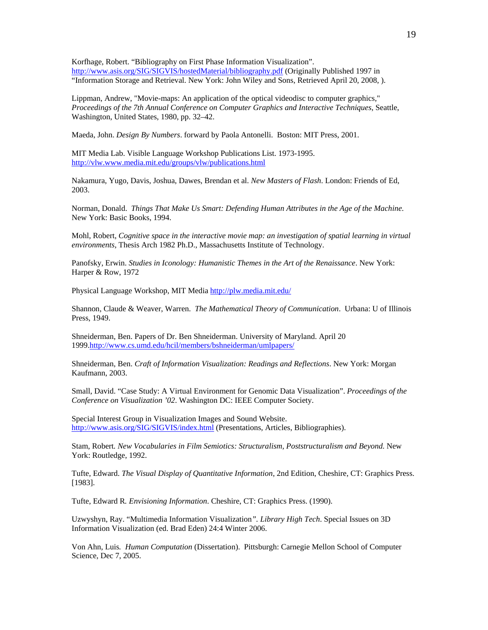Korfhage, Robert. "Bibliography on First Phase Information Visualization". <http://www.asis.org/SIG/SIGVIS/hostedMaterial/bibliography.pdf> (Originally Published 1997 in "Information Storage and Retrieval. New York: John Wiley and Sons, Retrieved April 20, 2008, ).

Lippman, Andrew, "Movie-maps: An application of the optical videodisc to computer graphics," *Proceedings of the 7th Annual Conference on Computer Graphics and Interactive Techniques*, Seattle, Washington, United States, 1980, pp. 32–42.

Maeda, John. *Design By Numbers*. forward by Paola Antonelli. Boston: MIT Press, 2001.

MIT Media Lab. Visible Language Workshop Publications List. 1973-1995. <http://vlw.www.media.mit.edu/groups/vlw/publications.html>

Nakamura, Yugo, Davis, Joshua, Dawes, Brendan et al. *New Masters of Flash*. London: Friends of Ed, 2003.

Norman, Donald. *Things That Make Us Smart: Defending Human Attributes in the Age of the Machine*. New York: Basic Books, 1994.

Mohl, Robert, *Cognitive space in the interactive movie map: an investigation of spatial learning in virtual environments*, Thesis Arch 1982 Ph.D., Massachusetts Institute of Technology.

Panofsky, Erwin. *Studies in Iconology: Humanistic Themes in the Art of the Renaissance*. New York: Harper & Row, 1972

Physical Language Workshop, MIT Media <http://plw.media.mit.edu/>

Shannon, Claude & Weaver, Warren. *The Mathematical Theory of Communication*. Urbana: U of Illinois Press, 1949.

Shneiderman, Ben. Papers of Dr. Ben Shneiderman. University of Maryland. April 20 1999[.http://www.cs.umd.edu/hcil/members/bshneiderman/umlpapers/](http://www.cs.umd.edu/hcil/members/bshneiderman/umlpapers/)

Shneiderman, Ben. *Craft of Information Visualization: Readings and Reflections*. New York: Morgan Kaufmann, 2003.

Small, David. "Case Study: A Virtual Environment for Genomic Data Visualization". *Proceedings of the Conference on Visualization '02*. Washington DC: IEEE Computer Society.

Special Interest Group in Visualization Images and Sound Website. <http://www.asis.org/SIG/SIGVIS/index.html>(Presentations, Articles, Bibliographies).

Stam, Robert*. New Vocabularies in Film Semiotics: Structuralism, Poststructuralism and Beyond.* New York: Routledge, 1992.

Tufte, Edward. *The Visual Display of Quantitative Information*, 2nd Edition, Cheshire, CT: Graphics Press. [1983].

Tufte, Edward R*. Envisioning Information*. Cheshire, CT: Graphics Press. (1990).

Uzwyshyn, Ray. "Multimedia Information Visualization*". Library High Tech*. Special Issues on 3D Information Visualization (ed. Brad Eden) 24:4 Winter 2006.

Von Ahn, Luis*. Human Computation* (Dissertation). Pittsburgh: Carnegie Mellon School of Computer Science, Dec 7, 2005.